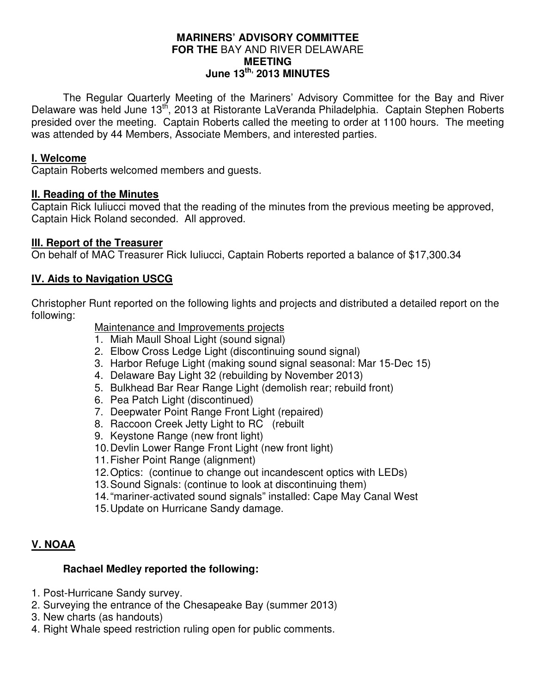#### **MARINERS' ADVISORY COMMITTEE FOR THE** BAY AND RIVER DELAWARE **MEETING June 13th, 2013 MINUTES**

 The Regular Quarterly Meeting of the Mariners' Advisory Committee for the Bay and River Delaware was held June 13<sup>th</sup>, 2013 at Ristorante LaVeranda Philadelphia. Captain Stephen Roberts presided over the meeting. Captain Roberts called the meeting to order at 1100 hours. The meeting was attended by 44 Members, Associate Members, and interested parties.

### **I. Welcome**

Captain Roberts welcomed members and guests.

#### **II. Reading of the Minutes**

Captain Rick Iuliucci moved that the reading of the minutes from the previous meeting be approved, Captain Hick Roland seconded. All approved.

### **III. Report of the Treasurer**

On behalf of MAC Treasurer Rick Iuliucci, Captain Roberts reported a balance of \$17,300.34

## **IV. Aids to Navigation USCG**

Christopher Runt reported on the following lights and projects and distributed a detailed report on the following:

### Maintenance and Improvements projects

- 1. Miah Maull Shoal Light (sound signal)
- 2. Elbow Cross Ledge Light (discontinuing sound signal)
- 3. Harbor Refuge Light (making sound signal seasonal: Mar 15-Dec 15)
- 4. Delaware Bay Light 32 (rebuilding by November 2013)
- 5. Bulkhead Bar Rear Range Light (demolish rear; rebuild front)
- 6. Pea Patch Light (discontinued)
- 7. Deepwater Point Range Front Light (repaired)
- 8. Raccoon Creek Jetty Light to RC (rebuilt
- 9. Keystone Range (new front light)
- 10. Devlin Lower Range Front Light (new front light)
- 11. Fisher Point Range (alignment)
- 12. Optics: (continue to change out incandescent optics with LEDs)
- 13. Sound Signals: (continue to look at discontinuing them)
- 14. "mariner-activated sound signals" installed: Cape May Canal West
- 15. Update on Hurricane Sandy damage.

## **V. NOAA**

## **Rachael Medley reported the following:**

- 1. Post-Hurricane Sandy survey.
- 2. Surveying the entrance of the Chesapeake Bay (summer 2013)
- 3. New charts (as handouts)
- 4. Right Whale speed restriction ruling open for public comments.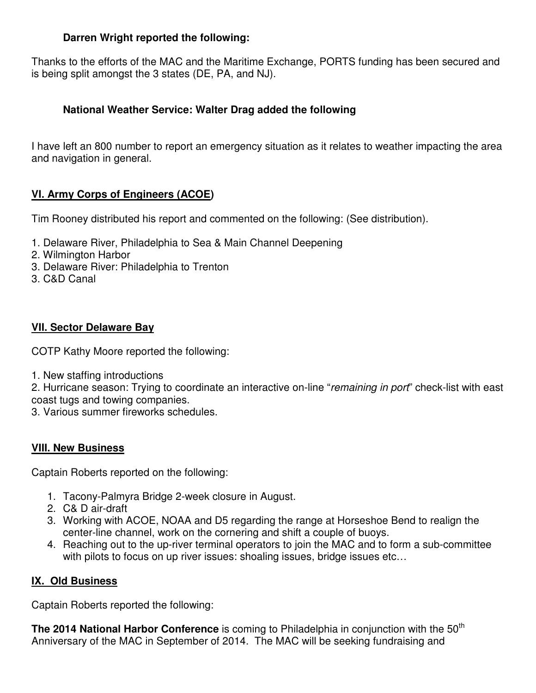## **Darren Wright reported the following:**

Thanks to the efforts of the MAC and the Maritime Exchange, PORTS funding has been secured and is being split amongst the 3 states (DE, PA, and NJ).

# **National Weather Service: Walter Drag added the following**

I have left an 800 number to report an emergency situation as it relates to weather impacting the area and navigation in general.

# **VI. Army Corps of Engineers (ACOE)**

Tim Rooney distributed his report and commented on the following: (See distribution).

- 1. Delaware River, Philadelphia to Sea & Main Channel Deepening
- 2. Wilmington Harbor
- 3. Delaware River: Philadelphia to Trenton
- 3. C&D Canal

# **VII. Sector Delaware Bay**

COTP Kathy Moore reported the following:

1. New staffing introductions

2. Hurricane season: Trying to coordinate an interactive on-line "remaining in port" check-list with east coast tugs and towing companies.

3. Various summer fireworks schedules.

## **VIII. New Business**

Captain Roberts reported on the following:

- 1. Tacony-Palmyra Bridge 2-week closure in August.
- 2. C& D air-draft
- 3. Working with ACOE, NOAA and D5 regarding the range at Horseshoe Bend to realign the center-line channel, work on the cornering and shift a couple of buoys.
- 4. Reaching out to the up-river terminal operators to join the MAC and to form a sub-committee with pilots to focus on up river issues: shoaling issues, bridge issues etc…

# **IX. Old Business**

Captain Roberts reported the following:

**The 2014 National Harbor Conference** is coming to Philadelphia in conjunction with the 50<sup>th</sup> Anniversary of the MAC in September of 2014. The MAC will be seeking fundraising and